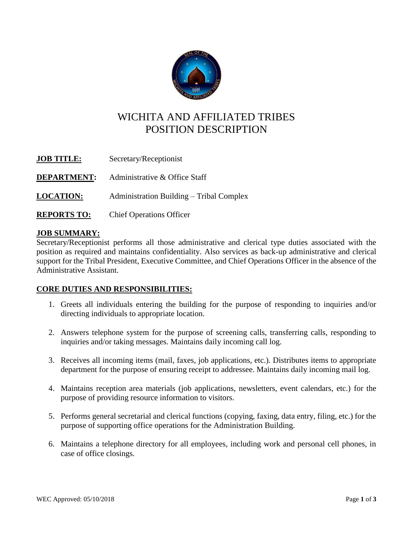

# WICHITA AND AFFILIATED TRIBES POSITION DESCRIPTION

| <b>JOB TITLE:</b>  | Secretary/Receptionist                   |
|--------------------|------------------------------------------|
| <b>DEPARTMENT:</b> | Administrative & Office Staff            |
| <b>LOCATION:</b>   | Administration Building – Tribal Complex |
| <b>REPORTS TO:</b> | <b>Chief Operations Officer</b>          |

## **JOB SUMMARY:**

Secretary/Receptionist performs all those administrative and clerical type duties associated with the position as required and maintains confidentiality. Also services as back-up administrative and clerical support for the Tribal President, Executive Committee, and Chief Operations Officer in the absence of the Administrative Assistant.

### **CORE DUTIES AND RESPONSIBILITIES:**

- 1. Greets all individuals entering the building for the purpose of responding to inquiries and/or directing individuals to appropriate location.
- 2. Answers telephone system for the purpose of screening calls, transferring calls, responding to inquiries and/or taking messages. Maintains daily incoming call log.
- 3. Receives all incoming items (mail, faxes, job applications, etc.). Distributes items to appropriate department for the purpose of ensuring receipt to addressee. Maintains daily incoming mail log.
- 4. Maintains reception area materials (job applications, newsletters, event calendars, etc.) for the purpose of providing resource information to visitors.
- 5. Performs general secretarial and clerical functions (copying, faxing, data entry, filing, etc.) for the purpose of supporting office operations for the Administration Building.
- 6. Maintains a telephone directory for all employees, including work and personal cell phones, in case of office closings.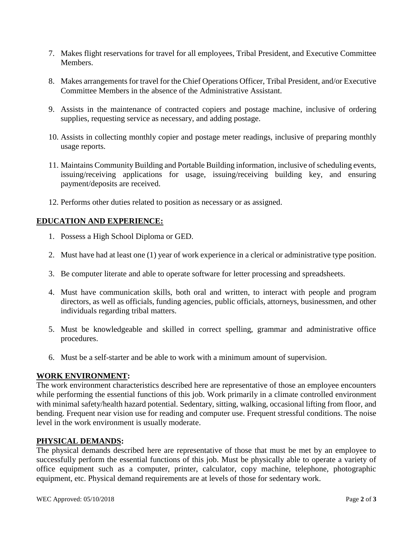- 7. Makes flight reservations for travel for all employees, Tribal President, and Executive Committee Members.
- 8. Makes arrangements for travel for the Chief Operations Officer, Tribal President, and/or Executive Committee Members in the absence of the Administrative Assistant.
- 9. Assists in the maintenance of contracted copiers and postage machine, inclusive of ordering supplies, requesting service as necessary, and adding postage.
- 10. Assists in collecting monthly copier and postage meter readings, inclusive of preparing monthly usage reports.
- 11. Maintains Community Building and Portable Building information, inclusive of scheduling events, issuing/receiving applications for usage, issuing/receiving building key, and ensuring payment/deposits are received.
- 12. Performs other duties related to position as necessary or as assigned.

### **EDUCATION AND EXPERIENCE:**

- 1. Possess a High School Diploma or GED.
- 2. Must have had at least one (1) year of work experience in a clerical or administrative type position.
- 3. Be computer literate and able to operate software for letter processing and spreadsheets.
- 4. Must have communication skills, both oral and written, to interact with people and program directors, as well as officials, funding agencies, public officials, attorneys, businessmen, and other individuals regarding tribal matters.
- 5. Must be knowledgeable and skilled in correct spelling, grammar and administrative office procedures.
- 6. Must be a self-starter and be able to work with a minimum amount of supervision.

### **WORK ENVIRONMENT:**

The work environment characteristics described here are representative of those an employee encounters while performing the essential functions of this job. Work primarily in a climate controlled environment with minimal safety/health hazard potential. Sedentary, sitting, walking, occasional lifting from floor, and bending. Frequent near vision use for reading and computer use. Frequent stressful conditions. The noise level in the work environment is usually moderate.

### **PHYSICAL DEMANDS:**

The physical demands described here are representative of those that must be met by an employee to successfully perform the essential functions of this job. Must be physically able to operate a variety of office equipment such as a computer, printer, calculator, copy machine, telephone, photographic equipment, etc. Physical demand requirements are at levels of those for sedentary work.